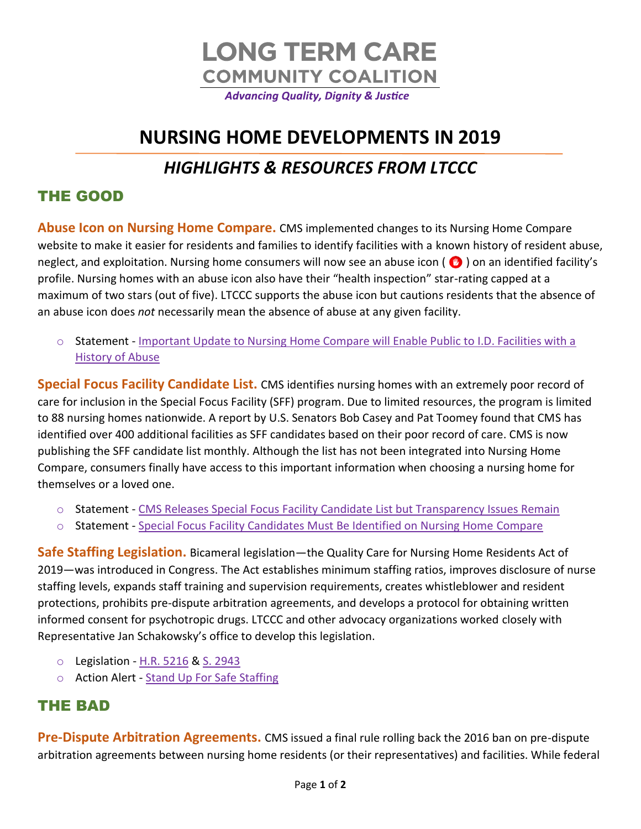

# **NURSING HOME DEVELOPMENTS IN 2019** *HIGHLIGHTS & RESOURCES FROM LTCCC*

### THE GOOD

**Abuse Icon on Nursing Home Compare.** CMS implemented changes to its Nursing Home Compare website to make it easier for residents and families to identify facilities with a known history of resident abuse, neglect, and exploitation. Nursing home consumers will now see an abuse icon ( $\bullet$ ) on an identified facility's profile. Nursing homes with an abuse icon also have their "health inspection" star-rating capped at a maximum of two stars (out of five). LTCCC supports the abuse icon but cautions residents that the absence of an abuse icon does *not* necessarily mean the absence of abuse at any given facility.

o Statement - [Important Update to Nursing Home Compare will Enable Public to I.D. Facilities with a](https://nursinghome411.org/joint-alert-important-update-to-nursing-home-compare-will-enable-public-to-i-d-facilities-with-a-history-of-abuse/)  [History of Abuse](https://nursinghome411.org/joint-alert-important-update-to-nursing-home-compare-will-enable-public-to-i-d-facilities-with-a-history-of-abuse/)

**Special Focus Facility Candidate List.** CMS identifies nursing homes with an extremely poor record of care for inclusion in the Special Focus Facility (SFF) program. Due to limited resources, the program is limited to 88 nursing homes nationwide. A report by U.S. Senators Bob Casey and Pat Toomey found that CMS has identified over 400 additional facilities as SFF candidates based on their poor record of care. CMS is now publishing the SFF candidate list monthly. Although the list has not been integrated into Nursing Home Compare, consumers finally have access to this important information when choosing a nursing home for themselves or a loved one.

- o Statement [CMS Releases Special Focus Facility Candidate List but Transparency Issues Remain](https://nursinghome411.org/cms-releases-special-focus-facility-candidate-list-but-transparency-issues-remain/)
- o Statement [Special Focus Facility Candidates Must Be Identified on Nursing Home Compare](https://nursinghome411.org/special-focus-facility-candidates-must-be-identified-on-nursing-home-compare/)

**Safe Staffing Legislation.** Bicameral legislation—the Quality Care for Nursing Home Residents Act of 2019—was introduced in Congress. The Act establishes minimum staffing ratios, improves disclosure of nurse staffing levels, expands staff training and supervision requirements, creates whistleblower and resident protections, prohibits pre-dispute arbitration agreements, and develops a protocol for obtaining written informed consent for psychotropic drugs. LTCCC and other advocacy organizations worked closely with Representative Jan Schakowsky's office to develop this legislation.

- o Legislation [H.R. 5216](https://www.congress.gov/116/bills/hr5216/BILLS-116hr5216ih.pdf) & [S. 2943](https://www.congress.gov/116/bills/s2943/BILLS-116s2943is.pdf)
- o Action Alert [Stand Up For Safe Staffing](https://secure.everyaction.com/wmXnycptUkK5JI0uOLMgCg2)

#### THE BAD

**Pre-Dispute Arbitration Agreements.** CMS issued a final rule rolling back the 2016 ban on pre-dispute arbitration agreements between nursing home residents (or their representatives) and facilities. While federal